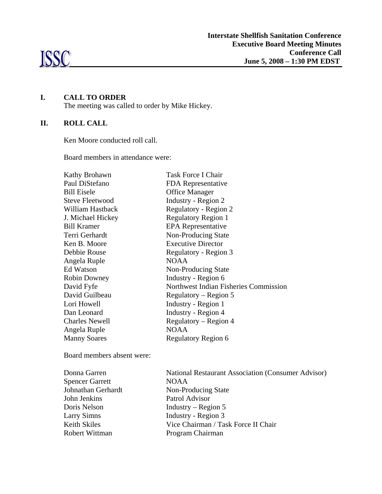

# **I. CALL TO ORDER**

The meeting was called to order by Mike Hickey.

# **II. ROLL CALL**

Ken Moore conducted roll call.

Board members in attendance were:

| Kathy Brohawn          | <b>Task Force I Chair</b>             |
|------------------------|---------------------------------------|
| Paul DiStefano         | FDA Representative                    |
| <b>Bill Eisele</b>     | <b>Office Manager</b>                 |
| <b>Steve Fleetwood</b> | Industry - Region 2                   |
| William Hastback       | Regulatory - Region 2                 |
| J. Michael Hickey      | <b>Regulatory Region 1</b>            |
| <b>Bill Kramer</b>     | <b>EPA</b> Representative             |
| Terri Gerhardt         | Non-Producing State                   |
| Ken B. Moore           | <b>Executive Director</b>             |
| Debbie Rouse           | Regulatory - Region 3                 |
| Angela Ruple           | <b>NOAA</b>                           |
| <b>Ed Watson</b>       | Non-Producing State                   |
| <b>Robin Downey</b>    | Industry - Region 6                   |
| David Fyfe             | Northwest Indian Fisheries Commission |
| David Guilbeau         | Regulatory – Region 5                 |
| Lori Howell            | Industry - Region 1                   |
| Dan Leonard            | Industry - Region 4                   |
| <b>Charles Newell</b>  | Regulatory – Region 4                 |
| Angela Ruple           | <b>NOAA</b>                           |
| <b>Manny Soares</b>    | Regulatory Region 6                   |

Board members absent were:

| Donna Garren           | <b>National Restaurant Association (Consumer Advisor)</b> |
|------------------------|-----------------------------------------------------------|
| <b>Spencer Garrett</b> | <b>NOAA</b>                                               |
| Johnathan Gerhardt     | Non-Producing State                                       |
| John Jenkins           | Patrol Advisor                                            |
| Doris Nelson           | Industry – Region $5$                                     |
| <b>Larry Simns</b>     | Industry - Region 3                                       |
| Keith Skiles           | Vice Chairman / Task Force II Chair                       |
| Robert Wittman         | Program Chairman                                          |
|                        |                                                           |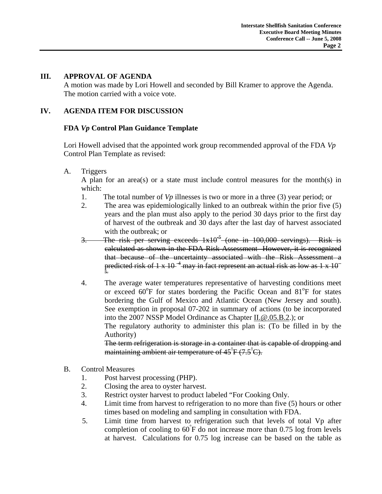#### **III. APPROVAL OF AGENDA**

 A motion was made by Lori Howell and seconded by Bill Kramer to approve the Agenda. The motion carried with a voice vote.

## **IV. AGENDA ITEM FOR DISCUSSION**

## **FDA** *Vp* **Control Plan Guidance Template**

Lori Howell advised that the appointed work group recommended approval of the FDA *Vp* Control Plan Template as revised:

A. Triggers

 A plan for an area(s) or a state must include control measures for the month(s) in which:

- 1. The total number of *Vp* illnesses is two or more in a three (3) year period; or
- 2. The area was epidemiologically linked to an outbreak within the prior five (5) years and the plan must also apply to the period 30 days prior to the first day of harvest of the outbreak and 30 days after the last day of harvest associated with the outbreak; or
- 3. The risk per serving exceeds  $1x10^{-5}$  (one in  $100,000$  servings). Risk is calculated as shown in the FDA Risk Assessment However, it is recognized that because of the uncertainty associated with the Risk Assessment a predicted risk of 1 x 10<sup>-4</sup> may in fact represent an actual risk as low as 1 x 10<sup>-</sup> 5.
- 4. The average water temperatures representative of harvesting conditions meet or exceed 60°F for states bordering the Pacific Ocean and 81°F for states bordering the Gulf of Mexico and Atlantic Ocean (New Jersey and south). See exemption in proposal 07-202 in summary of actions (to be incorporated into the 2007 NSSP Model Ordinance as Chapter II.@.05.B.2.); or The regulatory authority to administer this plan is: (To be filled in by the

Authority)

The term refrigeration is storage in a container that is capable of dropping and maintaining ambient air temperature of 45°F (7.5°C).

- B. Control Measures
	- 1. Post harvest processing (PHP).
	- 2. Closing the area to oyster harvest.
	- 3. Restrict oyster harvest to product labeled "For Cooking Only.
	- 4. Limit time from harvest to refrigeration to no more than five (5) hours or other times based on modeling and sampling in consultation with FDA.
	- 5. Limit time from harvest to refrigeration such that levels of total Vp after completion of cooling to 60° F do not increase more than 0.75 log from levels at harvest. Calculations for 0.75 log increase can be based on the table as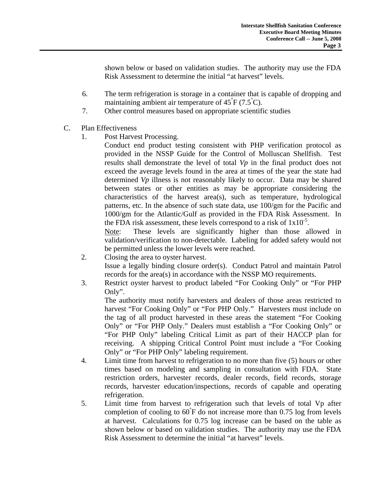shown below or based on validation studies. The authority may use the FDA Risk Assessment to determine the initial "at harvest" levels.

- 6. The term refrigeration is storage in a container that is capable of dropping and maintaining ambient air temperature of  $45\text{ }^{\degree}F$  (7.5 $\text{ }^{\degree}C$ ).
- 7. Other control measures based on appropriate scientific studies
- C. Plan Effectiveness
	- 1. Post Harvest Processing.

Conduct end product testing consistent with PHP verification protocol as provided in the NSSP Guide for the Control of Molluscan Shellfish. Test results shall demonstrate the level of total *Vp* in the final product does not exceed the average levels found in the area at times of the year the state had determined *Vp* illness is not reasonably likely to occur. Data may be shared between states or other entities as may be appropriate considering the characteristics of the harvest area(s), such as temperature, hydrological patterns, etc. In the absence of such state data, use 100/gm for the Pacific and 1000/gm for the Atlantic/Gulf as provided in the FDA Risk Assessment. In the FDA risk assessment, these levels correspond to a risk of  $1x10^{-5}$ .

Note: These levels are significantly higher than those allowed in validation/verification to non-detectable. Labeling for added safety would not be permitted unless the lower levels were reached.

- 2. Closing the area to oyster harvest. Issue a legally binding closure order(s). Conduct Patrol and maintain Patrol records for the area(s) in accordance with the NSSP MO requirements.
- 3. Restrict oyster harvest to product labeled "For Cooking Only" or "For PHP Only".

The authority must notify harvesters and dealers of those areas restricted to harvest "For Cooking Only" or "For PHP Only." Harvesters must include on the tag of all product harvested in these areas the statement "For Cooking Only" or "For PHP Only." Dealers must establish a "For Cooking Only" or "For PHP Only" labeling Critical Limit as part of their HACCP plan for receiving. A shipping Critical Control Point must include a "For Cooking Only" or "For PHP Only" labeling requirement.

- 4. Limit time from harvest to refrigeration to no more than five (5) hours or other times based on modeling and sampling in consultation with FDA. State restriction orders, harvester records, dealer records, field records, storage records, harvester education/inspections, records of capable and operating refrigeration.
- 5. Limit time from harvest to refrigeration such that levels of total Vp after completion of cooling to  $60^{\degree}$ F do not increase more than 0.75 log from levels at harvest. Calculations for 0.75 log increase can be based on the table as shown below or based on validation studies. The authority may use the FDA Risk Assessment to determine the initial "at harvest" levels.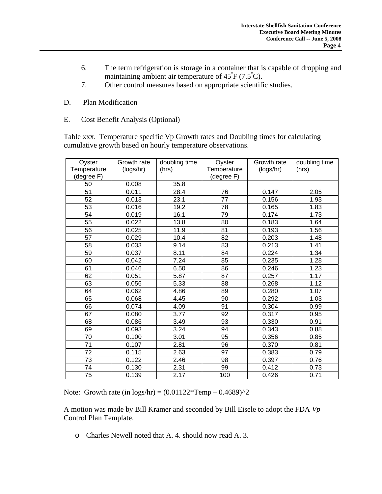- 6. The term refrigeration is storage in a container that is capable of dropping and maintaining ambient air temperature of  $45\text{ }^{\degree}F$  (7.5 $\text{ }^{\degree}C$ ).
- 7. Other control measures based on appropriate scientific studies.
- D. Plan Modification
- E. Cost Benefit Analysis (Optional)

Table xxx. Temperature specific Vp Growth rates and Doubling times for calculating cumulative growth based on hourly temperature observations.

| Oyster<br>Temperature<br>(degree F) | Growth rate<br>(logs/hr) | doubling time<br>(hrs) | Oyster<br>Temperature<br>(degree F) | Growth rate<br>(logs/hr) | doubling time<br>(hrs) |
|-------------------------------------|--------------------------|------------------------|-------------------------------------|--------------------------|------------------------|
| 50                                  | 0.008                    | 35.8                   |                                     |                          |                        |
| 51                                  | 0.011                    | 28.4                   | 76                                  | 0.147                    | 2.05                   |
| 52                                  | 0.013                    | 23.1                   | 77                                  | 0.156                    | 1.93                   |
| 53                                  | 0.016                    | 19.2                   | 78                                  | 0.165                    | 1.83                   |
| 54                                  | 0.019                    | 16.1                   | 79                                  | 0.174                    | 1.73                   |
| 55                                  | 0.022                    | 13.8                   | 80                                  | 0.183                    | 1.64                   |
| 56                                  | 0.025                    | 11.9                   | 81                                  | 0.193                    | 1.56                   |
| 57                                  | 0.029                    | 10.4                   | 82                                  | 0.203                    | 1.48                   |
| 58                                  | 0.033                    | 9.14                   | 83                                  | 0.213                    | 1.41                   |
| 59                                  | 0.037                    | 8.11                   | 84                                  | 0.224                    | 1.34                   |
| 60                                  | 0.042                    | 7.24                   | 85                                  | 0.235                    | 1.28                   |
| 61                                  | 0.046                    | 6.50                   | 86                                  | 0.246                    | 1.23                   |
| 62                                  | 0.051                    | 5.87                   | 87                                  | 0.257                    | 1.17                   |
| 63                                  | 0.056                    | 5.33                   | 88                                  | 0.268                    | 1.12                   |
| 64                                  | 0.062                    | 4.86                   | 89                                  | 0.280                    | 1.07                   |
| 65                                  | 0.068                    | 4.45                   | 90                                  | 0.292                    | 1.03                   |
| 66                                  | 0.074                    | 4.09                   | 91                                  | 0.304                    | 0.99                   |
| 67                                  | 0.080                    | 3.77                   | 92                                  | 0.317                    | 0.95                   |
| 68                                  | 0.086                    | 3.49                   | 93                                  | 0.330                    | 0.91                   |
| 69                                  | 0.093                    | 3.24                   | 94                                  | 0.343                    | 0.88                   |
| 70                                  | 0.100                    | 3.01                   | 95                                  | 0.356                    | 0.85                   |
| 71                                  | 0.107                    | 2.81                   | 96                                  | 0.370                    | 0.81                   |
| $\overline{72}$                     | 0.115                    | 2.63                   | $\overline{97}$                     | 0.383                    | 0.79                   |
| 73                                  | 0.122                    | 2.46                   | 98                                  | 0.397                    | 0.76                   |
| 74                                  | 0.130                    | 2.31                   | 99                                  | 0.412                    | 0.73                   |
| 75                                  | 0.139                    | 2.17                   | 100                                 | 0.426                    | 0.71                   |

Note: Growth rate (in  $\log s/hr$ ) = (0.01122\*Temp – 0.4689)^2

A motion was made by Bill Kramer and seconded by Bill Eisele to adopt the FDA *Vp* Control Plan Template.

o Charles Newell noted that A. 4. should now read A. 3.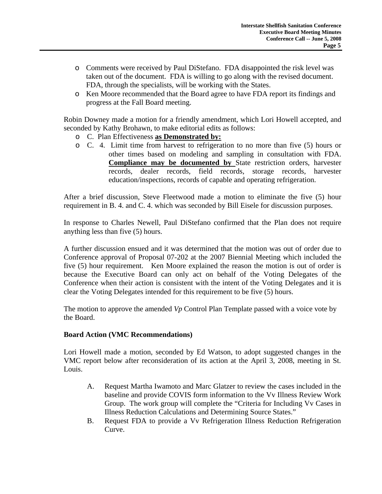- o Comments were received by Paul DiStefano. FDA disappointed the risk level was taken out of the document. FDA is willing to go along with the revised document. FDA, through the specialists, will be working with the States.
- o Ken Moore recommended that the Board agree to have FDA report its findings and progress at the Fall Board meeting.

Robin Downey made a motion for a friendly amendment, which Lori Howell accepted, and seconded by Kathy Brohawn, to make editorial edits as follows:

- o C. Plan Effectiveness **as Demonstrated by:**
- o C. 4. Limit time from harvest to refrigeration to no more than five (5) hours or other times based on modeling and sampling in consultation with FDA. **Compliance may be documented by** State restriction orders, harvester records, dealer records, field records, storage records, harvester education/inspections, records of capable and operating refrigeration.

After a brief discussion, Steve Fleetwood made a motion to eliminate the five (5) hour requirement in B. 4. and C. 4. which was seconded by Bill Eisele for discussion purposes.

In response to Charles Newell, Paul DiStefano confirmed that the Plan does not require anything less than five (5) hours.

A further discussion ensued and it was determined that the motion was out of order due to Conference approval of Proposal 07-202 at the 2007 Biennial Meeting which included the five (5) hour requirement. Ken Moore explained the reason the motion is out of order is because the Executive Board can only act on behalf of the Voting Delegates of the Conference when their action is consistent with the intent of the Voting Delegates and it is clear the Voting Delegates intended for this requirement to be five (5) hours.

The motion to approve the amended *Vp* Control Plan Template passed with a voice vote by the Board.

## **Board Action (VMC Recommendations)**

Lori Howell made a motion, seconded by Ed Watson, to adopt suggested changes in the VMC report below after reconsideration of its action at the April 3, 2008, meeting in St. Louis.

- A. Request Martha Iwamoto and Marc Glatzer to review the cases included in the baseline and provide COVIS form information to the Vv Illness Review Work Group. The work group will complete the "Criteria for Including Vv Cases in Illness Reduction Calculations and Determining Source States."
- B. Request FDA to provide a Vv Refrigeration Illness Reduction Refrigeration Curve.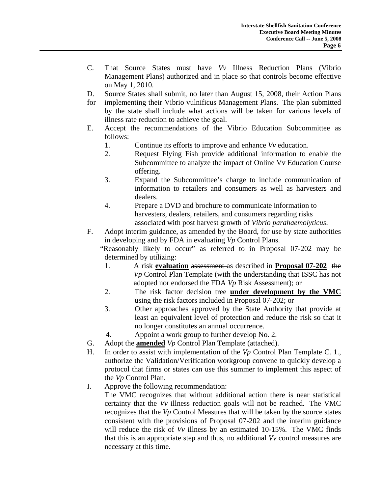- C. That Source States must have *Vv* Illness Reduction Plans (Vibrio Management Plans) authorized and in place so that controls become effective on May 1, 2010.
- D. Source States shall submit, no later than August 15, 2008, their Action Plans
- for implementing their Vibrio vulnificus Management Plans. The plan submitted by the state shall include what actions will be taken for various levels of illness rate reduction to achieve the goal.
- E. Accept the recommendations of the Vibrio Education Subcommittee as follows:
	- 1. Continue its efforts to improve and enhance *Vv* education.
	- 2. Request Flying Fish provide additional information to enable the Subcommittee to analyze the impact of Online Vv Education Course offering.
	- 3. Expand the Subcommittee's charge to include communication of information to retailers and consumers as well as harvesters and dealers.
	- 4. Prepare a DVD and brochure to communicate information to harvesters, dealers, retailers, and consumers regarding risks associated with post harvest growth of *Vibrio parahaemolyticus*.
- F. Adopt interim guidance, as amended by the Board, for use by state authorities in developing and by FDA in evaluating *Vp* Control Plans.

 "Reasonably likely to occur" as referred to in Proposal 07-202 may be determined by utilizing:

- 1. A risk **evaluation** assessment as described in **Proposal 07-202** the *Vp* Control Plan Template (with the understanding that ISSC has not adopted nor endorsed the FDA *Vp* Risk Assessment); or
- 2. The risk factor decision tree **under development by the VMC** using the risk factors included in Proposal 07-202; or
- 3. Other approaches approved by the State Authority that provide at least an equivalent level of protection and reduce the risk so that it no longer constitutes an annual occurrence.
- 4. Appoint a work group to further develop No. 2.
- G. Adopt the **amended** *Vp* Control Plan Template (attached).
- H. In order to assist with implementation of the *Vp* Control Plan Template C. 1., authorize the Validation/Verification workgroup convene to quickly develop a protocol that firms or states can use this summer to implement this aspect of the *Vp* Control Plan.
- I. Approve the following recommendation:

 The VMC recognizes that without additional action there is near statistical certainty that the *Vv* illness reduction goals will not be reached. The VMC recognizes that the *Vp* Control Measures that will be taken by the source states consistent with the provisions of Proposal 07-202 and the interim guidance will reduce the risk of *Vv* illness by an estimated 10-15%. The VMC finds that this is an appropriate step and thus, no additional *Vv* control measures are necessary at this time.